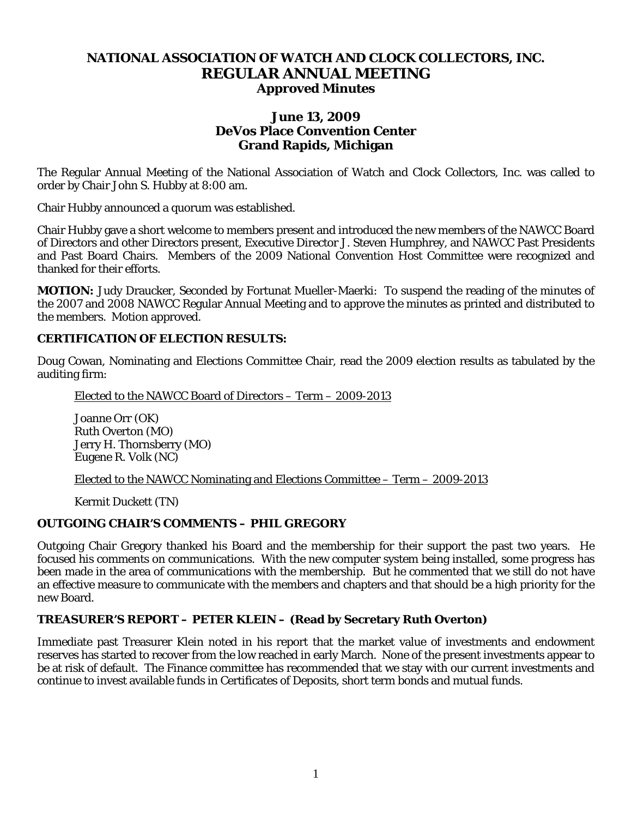# **NATIONAL ASSOCIATION OF WATCH AND CLOCK COLLECTORS, INC. REGULAR ANNUAL MEETING Approved Minutes**

### **June 13, 2009 DeVos Place Convention Center Grand Rapids, Michigan**

The Regular Annual Meeting of the National Association of Watch and Clock Collectors, Inc. was called to order by Chair John S. Hubby at 8:00 am.

Chair Hubby announced a quorum was established.

Chair Hubby gave a short welcome to members present and introduced the new members of the NAWCC Board of Directors and other Directors present, Executive Director J. Steven Humphrey, and NAWCC Past Presidents and Past Board Chairs. Members of the 2009 National Convention Host Committee were recognized and thanked for their efforts.

**MOTION:** Judy Draucker, Seconded by Fortunat Mueller-Maerki: To suspend the reading of the minutes of the 2007 and 2008 NAWCC Regular Annual Meeting and to approve the minutes as printed and distributed to the members. Motion approved.

#### **CERTIFICATION OF ELECTION RESULTS:**

Doug Cowan, Nominating and Elections Committee Chair, read the 2009 election results as tabulated by the auditing firm:

Elected to the NAWCC Board of Directors – Term – 2009-2013

Joanne Orr (OK) Ruth Overton (MO) Jerry H. Thornsberry (MO) Eugene R. Volk (NC)

Elected to the NAWCC Nominating and Elections Committee – Term – 2009-2013

Kermit Duckett (TN)

#### **OUTGOING CHAIR'S COMMENTS – PHIL GREGORY**

Outgoing Chair Gregory thanked his Board and the membership for their support the past two years. He focused his comments on communications. With the new computer system being installed, some progress has been made in the area of communications with the membership. But he commented that we still do not have an effective measure to communicate with the members and chapters and that should be a high priority for the new Board.

### **TREASURER'S REPORT – PETER KLEIN – (Read by Secretary Ruth Overton)**

Immediate past Treasurer Klein noted in his report that the market value of investments and endowment reserves has started to recover from the low reached in early March. None of the present investments appear to be at risk of default. The Finance committee has recommended that we stay with our current investments and continue to invest available funds in Certificates of Deposits, short term bonds and mutual funds.